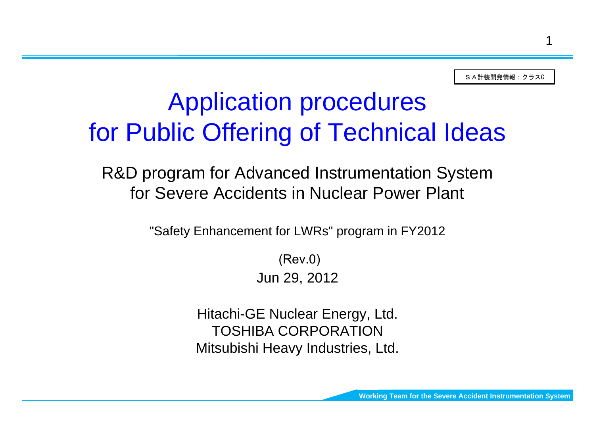SA計装開発情報:クラスC

# Application procedures for Public Offering of Technical Ideas

R&D program for Advanced Instrumentation System for Severe Accidents in Nuclear Power Plant

"Safety Enhancement for LWRs" program in FY2012

Jun 29, 2012 (Rev.0)

Hitachi-GE Nuclear Energy, Ltd. TOSHIBA CORPORATIONMitsubishi Heavy Industries, Ltd.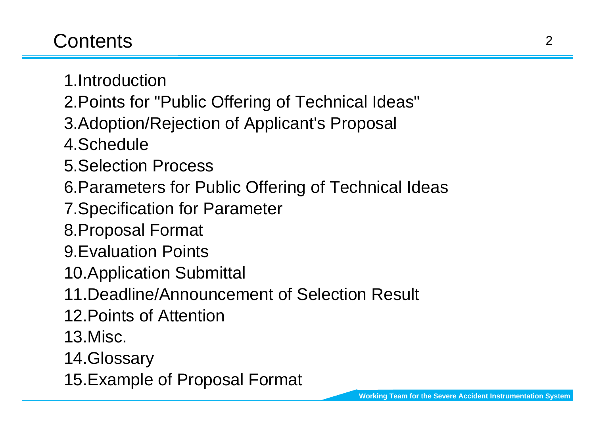# **Contents**

- 1.Introduction
- 2.Points for "Public Offering of Technical Ideas"
- 3.Adoption/Rejection of Applicant's Proposal
- 4.Schedule
- 5.Selection Process
- 6.Parameters for Public Offering of Technical Ideas
- 7.Specification for Parameter
- 8.Proposal Format
- 9.Evaluation Points
- 10.Application Submittal
- 11.Deadline/Announcement of Selection Result
- 12.Points of Attention
- 13.Misc.
- 14.Glossary
- 15.Example of Proposal Format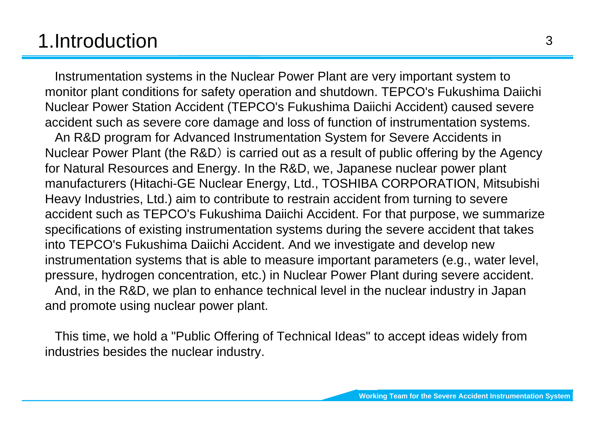# 1.Introduction

Instrumentation systems in the Nuclear Power Plant are very important system to monitor plant conditions for safety operation and shutdown. TEPCO's Fukushima Daiichi Nuclear Power Station Accident (TEPCO's Fukushima Daiichi Accident) caused severe accident such as severe core damage and loss of function of instrumentation systems.

An R&D program for Advanced Instrumentation System for Severe Accidents in Nuclear Power Plant (the R&D) is carried out as a result of public offering by the Agency for Natural Resources and Energy. In the R&D, we, Japanese nuclear power plant manufacturers (Hitachi-GE Nuclear Energy, Ltd., TOSHIBA CORPORATION, Mitsubishi Heavy Industries, Ltd.) aim to contribute to restrain accident from turning to severe accident such as TEPCO's Fukushima Daiichi Accident. For that purpose, we summarize specifications of existing instrumentation systems during the severe accident that takes into TEPCO's Fukushima Daiichi Accident. And we investigate and develop new instrumentation systems that is able to measure important parameters (e.g., water level, pressure, hydrogen concentration, etc.) in Nuclear Power Plant during severe accident. And, in the R&D, we plan to enhance technical level in the nuclear industry in Japan

and promote using nuclear power plant.

This time, we hold a "Public Offering of Technical Ideas" to accept ideas widely from industries besides the nuclear industry.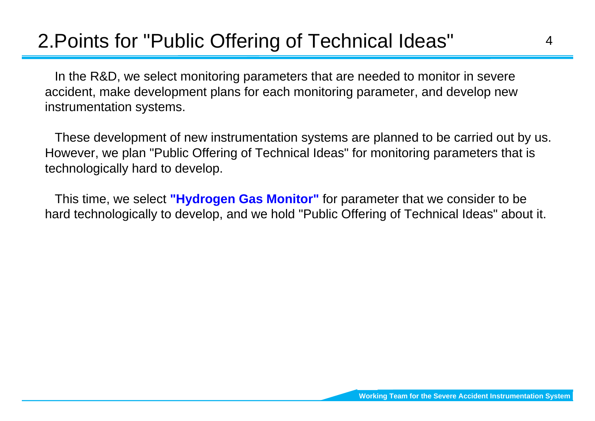# 2.Points for "Public Offering of Technical Ideas"

In the R&D, we select monitoring parameters that are needed to monitor in severe accident, make development plans for each monitoring parameter, and develop new instrumentation systems.

These development of new instrumentation systems are planned to be carried out by us. However, we plan "Public Offering of Technical Ideas" for monitoring parameters that is technologically hard to develop.

This time, we select **"Hydrogen Gas Monitor"** for parameter that we consider to be hard technologically to develop, and we hold "Public Offering of Technical Ideas" about it.

4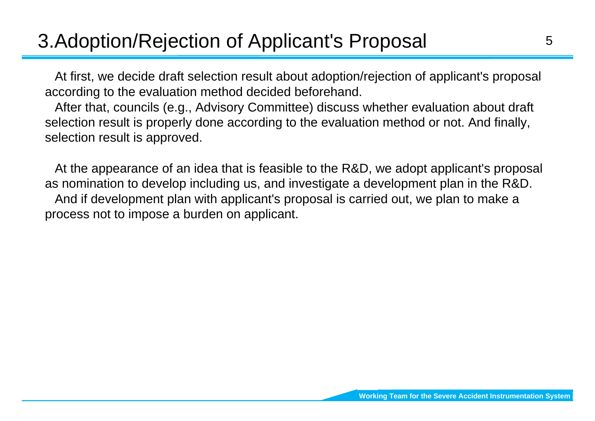# 3.Adoption/Rejection of Applicant's Proposal

At first, we decide draft selection result about adoption/rejection of applicant's proposal according to the evaluation method decided beforehand.

After that, councils (e.g., Advisory Committee) discuss whether evaluation about draft selection result is properly done according to the evaluation method or not. And finally, selection result is approved.

At the appearance of an idea that is feasible to the R&D, we adopt applicant's proposal as nomination to develop including us, and investigate a development plan in the R&D. And if development plan with applicant's proposal is carried out, we plan to make a process not to impose a burden on applicant.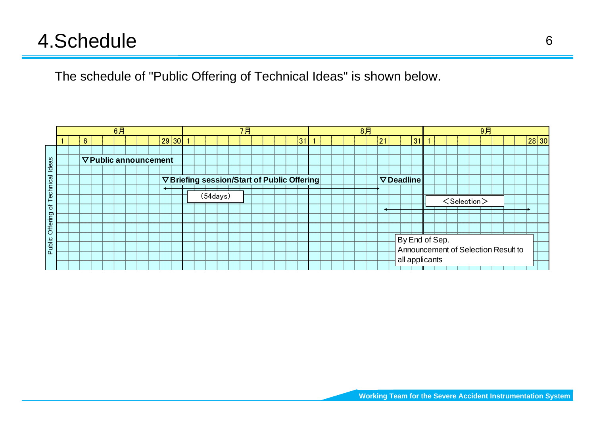# 4.Schedule

The schedule of "Public Offering of Technical Ideas" is shown below.

|          |  |                              |  | 6月 |  |  |       |  |           |  | 7月 |  |  |                                             |  |  | 8月 |    |                   |    |  |                         | 9月 |                                     |       |  |
|----------|--|------------------------------|--|----|--|--|-------|--|-----------|--|----|--|--|---------------------------------------------|--|--|----|----|-------------------|----|--|-------------------------|----|-------------------------------------|-------|--|
|          |  | 6                            |  |    |  |  | 29 30 |  |           |  |    |  |  | 31                                          |  |  |    | 21 |                   | 31 |  |                         |    |                                     | 28 30 |  |
|          |  |                              |  |    |  |  |       |  |           |  |    |  |  |                                             |  |  |    |    |                   |    |  |                         |    |                                     |       |  |
| deas     |  | <b>▽ Public announcement</b> |  |    |  |  |       |  |           |  |    |  |  |                                             |  |  |    |    |                   |    |  |                         |    |                                     |       |  |
|          |  |                              |  |    |  |  |       |  |           |  |    |  |  |                                             |  |  |    |    |                   |    |  |                         |    |                                     |       |  |
| ত্ত<br>ပ |  |                              |  |    |  |  |       |  |           |  |    |  |  | ▽ Briefing session/Start of Public Offering |  |  |    |    | $\nabla$ Deadline |    |  |                         |    |                                     |       |  |
| echni    |  |                              |  |    |  |  |       |  |           |  |    |  |  |                                             |  |  |    |    |                   |    |  |                         |    |                                     |       |  |
|          |  |                              |  |    |  |  |       |  | (54 days) |  |    |  |  |                                             |  |  |    |    |                   |    |  | <selection></selection> |    |                                     |       |  |
| ৳        |  |                              |  |    |  |  |       |  |           |  |    |  |  |                                             |  |  |    |    |                   |    |  |                         |    |                                     |       |  |
| Offering |  |                              |  |    |  |  |       |  |           |  |    |  |  |                                             |  |  |    |    |                   |    |  |                         |    |                                     |       |  |
|          |  |                              |  |    |  |  |       |  |           |  |    |  |  |                                             |  |  |    |    |                   |    |  |                         |    |                                     |       |  |
|          |  |                              |  |    |  |  |       |  |           |  |    |  |  |                                             |  |  |    |    | By End of Sep.    |    |  |                         |    |                                     |       |  |
| Public   |  |                              |  |    |  |  |       |  |           |  |    |  |  |                                             |  |  |    |    |                   |    |  |                         |    | Announcement of Selection Result to |       |  |
|          |  |                              |  |    |  |  |       |  |           |  |    |  |  |                                             |  |  |    |    | all applicants    |    |  |                         |    |                                     |       |  |
|          |  |                              |  |    |  |  |       |  |           |  |    |  |  |                                             |  |  |    |    |                   |    |  |                         |    |                                     |       |  |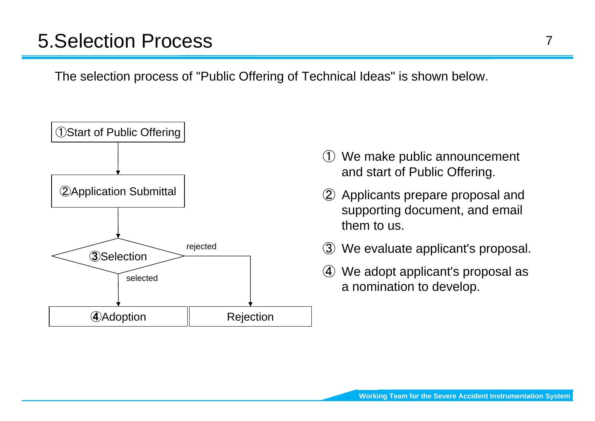# 5.Selection Process

The selection process of "Public Offering of Technical Ideas" is shown below.



- ① We make public announcement and start of Public Offering.
- ② Applicants prepare proposal and supporting document, and email them to us.
- ③ We evaluate applicant's proposal.
- ④ We adopt applicant's proposal as a nomination to develop.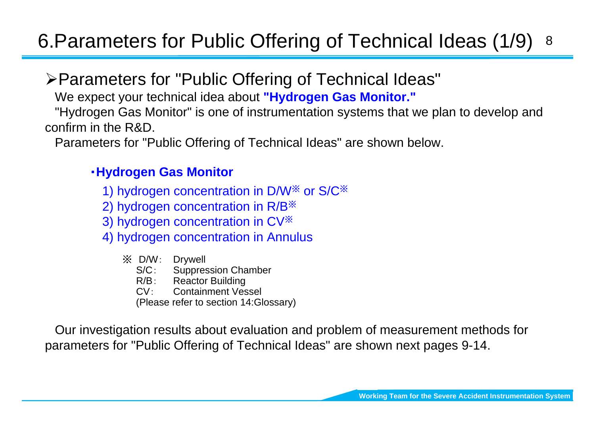#### 86.Parameters for Public Offering of Technical Ideas (1/9)

## ¾Parameters for "Public Offering of Technical Ideas"

We expect your technical idea about **"Hydrogen Gas Monitor."**

"Hydrogen Gas Monitor" is one of instrumentation systems that we plan to develop and confirm in the R&D.

Parameters for "Public Offering of Technical Ideas" are shown below.

#### ・**Hydrogen Gas Monitor**

- 1) hydrogen concentration in D/W ※ or S/C ※
- 2) hydrogen concentration in R/B ※
- 3) hydrogen concentration in CV ※
- 4) hydrogen concentration in Annulus
	- ※ D/W: Drywell  $S/C$ : Suppression Chamber
		- R/B:Reactor Building
		- $CV:$ Containment Vessel
		- (Please refer to section 14:Glossary)

Our investigation results about evaluation and problem of measurement methods for parameters for "Public Offering of Technical Ideas" are shown next pages 9-14.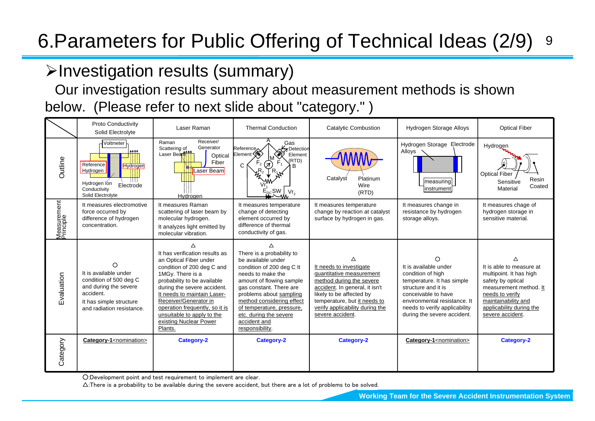#### 96.Parameters for Public Offering of Technical Ideas (2/9)

## ¾Investigation results (summary)

Our investigation results summary about measurement methods is shown below. (Please refer to next slide about "category." )

|                          | <b>Proto Conductivity</b><br>Solid Electrolyte                                                                                                     | Laser Raman                                                                                                                                                                                                                                                                                                                           | <b>Thermal Conduction</b>                                                                                                                                                                                                                                                                                       | Catalytic Combustion                                                                                                                                                                                                                      | Hydrogen Storage Alloys                                                                                                                                                                                                     | <b>Optical Fiber</b>                                                                                                                                                                         |
|--------------------------|----------------------------------------------------------------------------------------------------------------------------------------------------|---------------------------------------------------------------------------------------------------------------------------------------------------------------------------------------------------------------------------------------------------------------------------------------------------------------------------------------|-----------------------------------------------------------------------------------------------------------------------------------------------------------------------------------------------------------------------------------------------------------------------------------------------------------------|-------------------------------------------------------------------------------------------------------------------------------------------------------------------------------------------------------------------------------------------|-----------------------------------------------------------------------------------------------------------------------------------------------------------------------------------------------------------------------------|----------------------------------------------------------------------------------------------------------------------------------------------------------------------------------------------|
| Outline                  | Voltmeter<br>Reference<br>Hydrogen<br>Hydrogen<br>Hydrogen Ion<br>Electrode<br>Conductivity<br>Solid Electrolyte                                   | Receiver/<br>Raman<br>Generator<br>Scattering of<br>Laser Beart11<br>Optical<br>Fiber<br>Laser Beam<br>Hydrogen                                                                                                                                                                                                                       | Gas<br>Reference.<br>Detection<br>Element (<br>Element<br>(RTD)<br>$\pi$<br>C<br>R.<br>Vr <sub>2</sub>                                                                                                                                                                                                          | Catalyst<br>Platinum<br>Wire<br>(RTD)                                                                                                                                                                                                     | Hydrogen Storage Electrode<br>Alloys<br> measuring <br> instrument                                                                                                                                                          | Hydrogen<br><b>Optical Fiber</b><br>Resin<br>Sensitive<br>Coated<br>Material                                                                                                                 |
| Measurement<br>Principle | It measures electromotive<br>force occurred by<br>difference of hydrogen<br>concentration.                                                         | It measures Raman<br>scattering of laser beam by<br>molecular hydrogen.<br>It analyzes light emitted by<br>molecular vibration.                                                                                                                                                                                                       | It measures temperature<br>change of detecting<br>element occurred by<br>difference of thermal<br>conductivity of gas.                                                                                                                                                                                          | It measures temperature<br>change by reaction at catalyst<br>surface by hydrogen in gas.                                                                                                                                                  | It measures change in<br>resistance by hydrogen<br>storage alloys.                                                                                                                                                          | It measures chage of<br>hydrogen storage in<br>sensitive material.                                                                                                                           |
| ivaluation               | ∩<br>It is available under<br>condition of 500 deg C<br>and during the severe<br>accident.<br>It has simple structure<br>and radiation resistance. | It has verification results as<br>an Optical Fiber under<br>condition of 200 deg C and<br>1MGy. There is a<br>probability to be available<br>during the severe accident.<br>It needs to maintain Laser-<br>Receiver/Generator in<br>operation frequently, so it is<br>unsuitable to apply to the<br>existing Nuclear Power<br>Plants. | Δ<br>There is a probability to<br>be available under<br>condition of 200 deg C It<br>needs to make the<br>amount of flowing sample<br>gas constant. There are<br>problems about sampling<br>method considering effect<br>of temperature, pressure,<br>etc. during the severe<br>accident and<br>responsibility. | ∧<br>It needs to investigate<br>quantitative measurement<br>method during the severe<br>accident. In general, it isn't<br>likely to be affected by<br>temperature, but it needs to<br>verify applicability during the<br>severe accident. | ∩<br>It is available under<br>condition of high<br>temperature. It has simple<br>structure and it is<br>conceivable to have<br>environmental resistance. It<br>needs to verify applicability<br>during the severe accident. | It is able to measure at<br>multipoint. It has high<br>safety by optical<br>measurement method. It<br>needs to verify<br>maintainability and<br>applicability during the<br>severe accident. |
| Category                 | Category-1 <nomination></nomination>                                                                                                               | Category-2                                                                                                                                                                                                                                                                                                                            | Category-2                                                                                                                                                                                                                                                                                                      | Category-2                                                                                                                                                                                                                                | Category-1 <nomination></nomination>                                                                                                                                                                                        | Category-2                                                                                                                                                                                   |

○:Development point and test requirement to implement are clear.

 $\triangle$ :There is a probability to be available during the severe accident, but there are a lot of problems to be solved.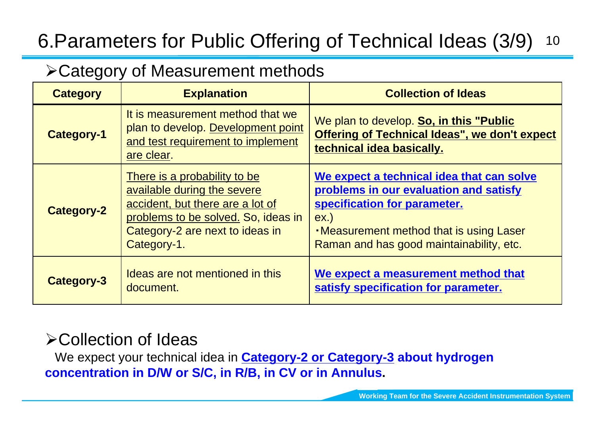#### 106.Parameters for Public Offering of Technical Ideas (3/9)

## ¾Category of Measurement methods

| <b>Category</b>   | <b>Explanation</b>                                                                                                                                                                       | <b>Collection of Ideas</b>                                                                                                                                                                                             |
|-------------------|------------------------------------------------------------------------------------------------------------------------------------------------------------------------------------------|------------------------------------------------------------------------------------------------------------------------------------------------------------------------------------------------------------------------|
| <b>Category-1</b> | It is measurement method that we<br>plan to develop. Development point<br>and test requirement to implement<br>are clear.                                                                | We plan to develop. So, in this "Public<br><b>Offering of Technical Ideas", we don't expect</b><br>technical idea basically.                                                                                           |
| <b>Category-2</b> | There is a probability to be<br>available during the severe<br>accident, but there are a lot of<br>problems to be solved. So, ideas in<br>Category-2 are next to ideas in<br>Category-1. | We expect a technical idea that can solve<br>problems in our evaluation and satisfy<br>specification for parameter.<br>$ex.$ )<br>. Measurement method that is using Laser<br>Raman and has good maintainability, etc. |
| <b>Category-3</b> | Ideas are not mentioned in this<br>document.                                                                                                                                             | We expect a measurement method that<br>satisfy specification for parameter.                                                                                                                                            |

## ¾Collection of Ideas

We expect your technical idea in **Category-2 or Category-3 about hydrogen concentration in D/W or S/C, in R/B, in CV or in Annulus.**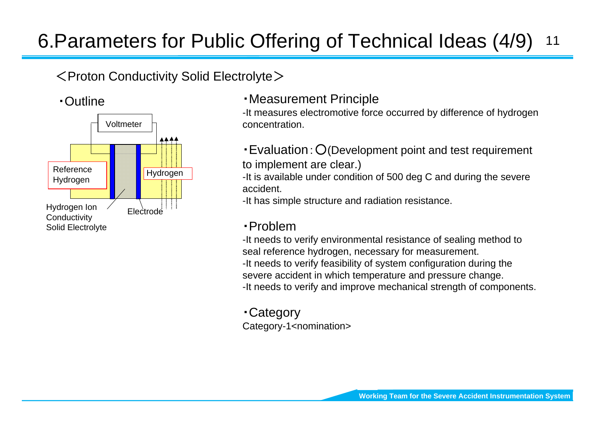#### 116.Parameters for Public Offering of Technical Ideas (4/9)

## $<$ Proton Conductivity Solid Electrolyte $>$

#### ・Outline



## ・Measurement Principle

-It measures electromotive force occurred by difference of hydrogen concentration.

・Evaluation:○(Development point and test requirement to implement are clear.)

-It is available under condition of 500 deg C and during the severe accident.

-It has simple structure and radiation resistance.

## ・Problem

-It needs to verify environmental resistance of sealing method to seal reference hydrogen, necessary for measurement. -It needs to verify feasibility of system configuration during the severe accident in which temperature and pressure change. -It needs to verify and improve mechanical strength of components.

・Category Category-1<nomination>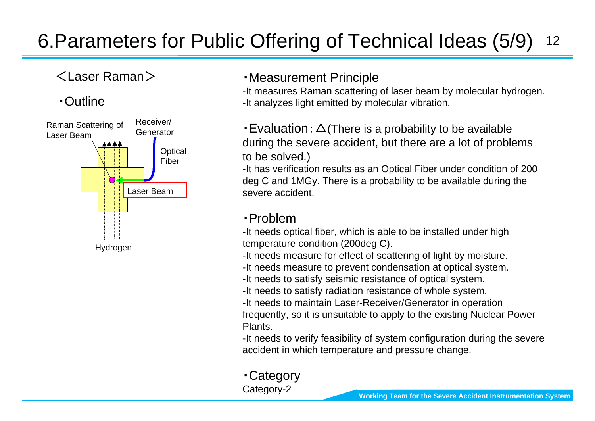#### 126.Parameters for Public Offering of Technical Ideas (5/9)

## <Laser Raman >

#### ・Outline



#### ・Measurement Principle

-It measures Raman scattering of laser beam by molecular hydrogen. -It analyzes light emitted by molecular vibration.

 $\cdot$  Evaluation:  $\Delta$ (There is a probability to be available during the severe accident, but there are a lot of problems to be solved.)

-It has verification results as an Optical Fiber under condition of 200 deg C and 1MGy. There is a probability to be available during the severe accident.

#### ・Problem

-It needs optical fiber, which is able to be installed under high temperature condition (200deg C).

-It needs measure for effect of scattering of light by moisture.

-It needs measure to prevent condensation at optical system.

-It needs to satisfy seismic resistance of optical system.

-It needs to satisfy radiation resistance of whole system.

-It needs to maintain Laser-Receiver/Generator in operation frequently, so it is unsuitable to apply to the existing Nuclear Power Plants.

-It needs to verify feasibility of system configuration during the severe accident in which temperature and pressure change.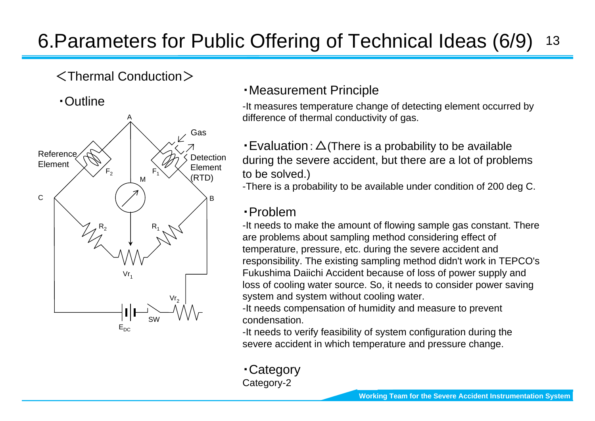#### 136.Parameters for Public Offering of Technical Ideas (6/9)

## <Thermal Conduction >

・Outline



## ・Measurement Principle

-It measures temperature change of detecting element occurred by difference of thermal conductivity of gas.

 $\cdot$  Evaluation:  $\Delta$  (There is a probability to be available during the severe accident, but there are a lot of problems to be solved.)

-There is a probability to be available under condition of 200 deg C.

#### ・Problem

-It needs to make the amount of flowing sample gas constant. There are problems about sampling method considering effect of temperature, pressure, etc. during the severe accident and responsibility. The existing sampling method didn't work in TEPCO's Fukushima Daiichi Accident because of loss of power supply and loss of cooling water source. So, it needs to consider power saving system and system without cooling water.

-It needs compensation of humidity and measure to prevent condensation.

-It needs to verify feasibility of system configuration during the severe accident in which temperature and pressure change.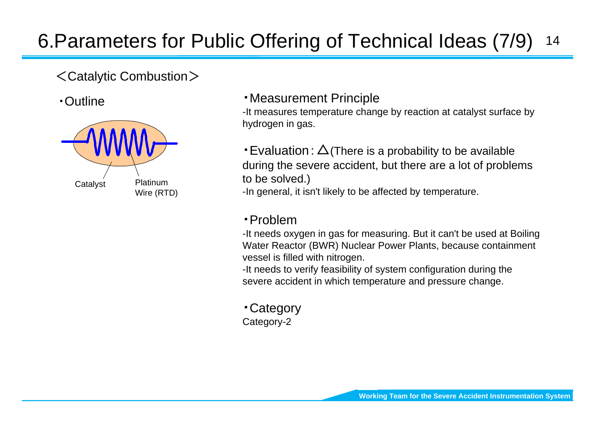#### 146.Parameters for Public Offering of Technical Ideas (7/9)

## <Catalytic Combustion >

・Outline



・Measurement Principle

-It measures temperature change by reaction at catalyst surface by hydrogen in gas.

 $\cdot$  Evaluation:  $\Delta$  (There is a probability to be available during the severe accident, but there are a lot of problems to be solved.)

-In general, it isn't likely to be affected by temperature.

#### ・Problem

-It needs oxygen in gas for measuring. But it can't be used at Boiling Water Reactor (BWR) Nuclear Power Plants, because containment vessel is filled with nitrogen.

-It needs to verify feasibility of system configuration during the severe accident in which temperature and pressure change.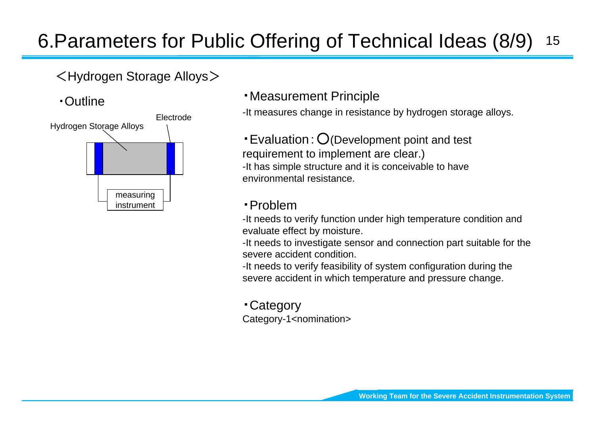#### 156.Parameters for Public Offering of Technical Ideas (8/9)

## <Hydrogen Storage Alloys >

・Outline



・Measurement Principle

-It measures change in resistance by hydrogen storage alloys.

・Evaluation:○(Development point and test requirement to implement are clear.) -It has simple structure and it is conceivable to have environmental resistance.

#### ・Problem

-It needs to verify function under high temperature condition and evaluate effect by moisture.

-It needs to investigate sensor and connection part suitable for the severe accident condition.

-It needs to verify feasibility of system configuration during the severe accident in which temperature and pressure change.

・Category Category-1<nomination>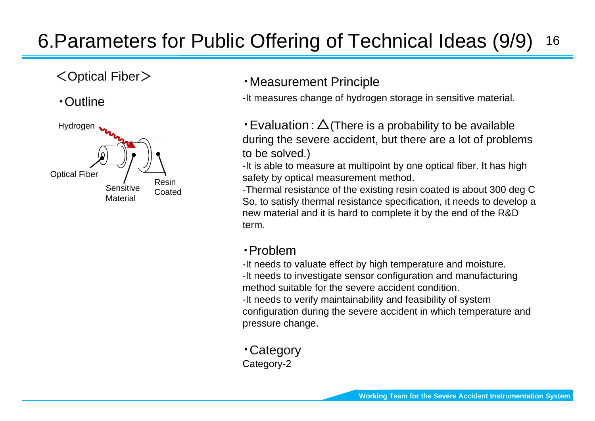#### 166.Parameters for Public Offering of Technical Ideas (9/9)

## <Optical Fiber >

## ・Outline



#### ・Measurement Principle

-It measures change of hydrogen storage in sensitive material.

• Evaluation:  $\Delta$ (There is a probability to be available during the severe accident, but there are a lot of problems to be solved.)

-It is able to measure at multipoint by one optical fiber. It has high safety by optical measurement method.

-Thermal resistance of the existing resin coated is about 300 deg C So, to satisfy thermal resistance specification, it needs to develop a new material and it is hard to complete it by the end of the R&D term.

#### ・Problem

-It needs to valuate effect by high temperature and moisture.

-It needs to investigate sensor configuration and manufacturing method suitable for the severe accident condition.

-It needs to verify maintainability and feasibility of system configuration during the severe accident in which temperature and pressure change.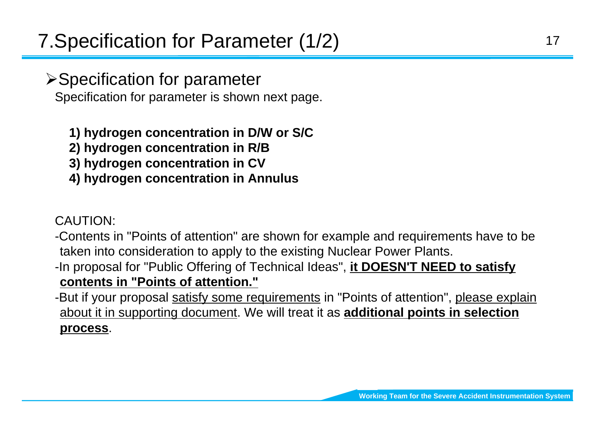**≻Specification for parameter** Specification for parameter is shown next page.

## **1) hydrogen concentration in D/W or S/C**

- **2) hydrogen concentration in R/B**
- **3) hydrogen concentration in CV**
- **4) hydrogen concentration in Annulus**

## CAUTION:

- -Contents in "Points of attention" are shown for example and requirements have to be taken into consideration to apply to the existing Nuclear Power Plants.
- -In proposal for "Public Offering of Technical Ideas", **it DOESN'T NEED to satisfy contents in "Points of attention."**
- -But if your proposal satisfy some requirements in "Points of attention", please explain about it in supporting document. We will treat it as **additional points in selection process**.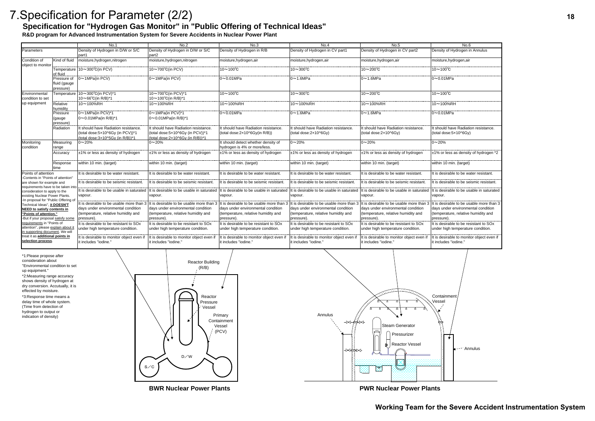**R&D program for Advanced Instrumentation System for Severe Accidents in Nuclear Power Plant**

|                                                                                                        |                                          | No.1                                                                                                         | No.2                                                                                                         | No.3                                                                        | No.4                                                                                    | No.5                                                                                    | No.6                                                                                    |
|--------------------------------------------------------------------------------------------------------|------------------------------------------|--------------------------------------------------------------------------------------------------------------|--------------------------------------------------------------------------------------------------------------|-----------------------------------------------------------------------------|-----------------------------------------------------------------------------------------|-----------------------------------------------------------------------------------------|-----------------------------------------------------------------------------------------|
| Parameters                                                                                             |                                          | Density of Hydrogen in D/W or S/C<br>part1                                                                   | Density of Hydrogen in D/W or S/C<br>part <sub>2</sub>                                                       | Density of Hydrogen in R/B                                                  | Density of Hydrogen in CV part1                                                         | Density of Hydrogen in CV part2                                                         | Density of Hydrogen in Annulus                                                          |
| Condition of<br>object to monitor                                                                      | Kind of fluid                            | moisture, hydrogen, nitrogen                                                                                 | moisture, hydrogen, nitrogen                                                                                 | moisture, hydrogen, air                                                     | moisture, hydrogen, air                                                                 | moisture, hydrogen, air                                                                 | moisture, hydrogen, air                                                                 |
|                                                                                                        | of fluid                                 | Temperature 10~300°C(in PCV)                                                                                 | 10~700°C(in PCV)                                                                                             | $10 \sim 100^{\circ}$ C                                                     | $10 \sim 300^{\circ}$ C                                                                 | $10 - 200^{\circ}C$                                                                     | $10 \sim 100^{\circ}$ C                                                                 |
|                                                                                                        | Pressure of<br>fluid (gauge<br>pressure) | 0~1MPa(in PCV)                                                                                               | 0~1MPa(in PCV)                                                                                               | $0\nu 0.01$ MPa                                                             | $0 \sim 1.6$ MPa                                                                        | $0 \sim 1.6$ MPa                                                                        | $0\nightharpoonup 0.01$ MPa                                                             |
| Environmental                                                                                          |                                          | Temperature  10∼300°C(in PCV)*1                                                                              | 10~700°C(in PCV)*1                                                                                           | $10 \sim 100^{\circ}$ C                                                     | $10\sim 300^{\circ}$ C                                                                  | $10 - 200^{\circ}C$                                                                     | $10 \sim 100^{\circ}$ C                                                                 |
| condition to set                                                                                       |                                          | $10 \sim 66^{\circ}$ C(in R/B)*1                                                                             | 10~100°C(in R/B)*1                                                                                           |                                                                             |                                                                                         |                                                                                         |                                                                                         |
| up equipment                                                                                           | Relative<br>humidity                     | 10~100%RH                                                                                                    | 10~100%RH                                                                                                    | 10∼100%RH                                                                   | 10~100%RF                                                                               | 10~100%RH                                                                               | 10~100%RH                                                                               |
|                                                                                                        | Pressure<br>(gauge<br>pressure)          | $0 \sim 1$ MPa(in PCV)*1<br>$0 \sim 0.01$ MPa(in R/B)*1                                                      | $0 \sim 1$ MPa(in PCV)*1<br>$0 \sim 0.01$ MPa(in R/B)*1                                                      | $0\nu$ 0.01MPa                                                              | $0 \sim 1.6$ MPa                                                                        | $0 \sim 1.6$ MPa                                                                        | $0\nightharpoonup 0.01$ MPa                                                             |
|                                                                                                        | Radiation                                | It should have Radiation resistance.<br>(total dose:5x10^6Gy (in PCV))*1<br>(total dose:3x10^5Gy (in R/B))*1 | It should have Radiation resistance.<br>(total dose:5x10^6Gy (in PCV))*1<br>(total dose:2x10^6Gy (in R/B))*1 | It should have Radiation resistance<br>(total dose:2x10^6Gy(in R/B))        | It should have Radiation resistance.<br>(total dose:2×10^6Gy)                           | It should have Radiation resistance.<br>(total dose:2x10^6Gy)                           | It should have Radiation resistance.<br>(total dose:5x10^6Gy)                           |
| Monitoring<br>condition                                                                                | Measuring<br>range                       | $0 \sim 20\%$                                                                                                | $0 \sim 20\%$                                                                                                | It should detect whether density of<br>hydrogen is 4% or more/less.         | $0 - 20%$                                                                               | $0 - 20%$                                                                               | $0 - 20%$                                                                               |
|                                                                                                        | Accuracv                                 | ±1% or less as density of hydrogen                                                                           | ±1% or less as density of hydrogen                                                                           | $±1\%$ or less as density of hydrogen                                       | ±1% or less as density of hydrogen                                                      | ±1% or less as density of hydrogen                                                      | ±1% or less as density of hydrogen *2                                                   |
|                                                                                                        | Response<br>time                         | within 10 min. (target)                                                                                      | within 10 min. (target)                                                                                      | within 10 min. (target)                                                     | within 10 min. (target)                                                                 | within 10 min. (target)                                                                 | within 10 min. (target)                                                                 |
| Points of attention<br>-Contents in "Points of attention"                                              |                                          | It is desirable to be water resistant.                                                                       | $\overline{t}$ is desirable to be water resistant.                                                           | It is desirable to be water resistant                                       | It is desirable to be water resistant.                                                  | It is desirable to be water resistant.                                                  | It is desirable to be water resistant                                                   |
| are shown for example and<br>requirements have to be taken into                                        |                                          | It is desirable to be seismic resistant                                                                      | It is desirable to be seismic resistant                                                                      | It is desirable to be seismic resistant                                     | It is desirable to be seismic resistant.                                                | It is desirable to be seismic resistant                                                 | It is desirable to be seismic resistant                                                 |
| consideration to apply to the<br>existing Nuclear Power Plants.<br>-In proposal for "Public Offering o |                                          | It is desirable to be usable in saturated<br>vapour.                                                         | It is desirable to be usable in saturated<br>vapour.                                                         | It is desirable to be usable in saturated<br>vapour.                        | t is desirable to be usable in saturated<br>vapour.                                     | It is desirable to be usable in saturated<br>vapour.                                    | It is desirable to be usable in saturate<br>vapour.                                     |
| Technical Ideas", it DOESN'T                                                                           |                                          |                                                                                                              | It is desirable to be usable more than 3 It is desirable to be usable more than 3                            | It is desirable to be usable more than 3                                    | It is desirable to be usable more than 3                                                | It is desirable to be usable more than 3                                                | It is desirable to be usable more than                                                  |
| <b>NEED to satisfy contents in</b>                                                                     |                                          | days under environmental condition                                                                           | days under environmental condition                                                                           | days under environmental condition                                          | days under environmental condition                                                      | days under environmental condition                                                      | days under environmental condition                                                      |
| "Points of attention."                                                                                 |                                          | (temperature, relative humidity and                                                                          | (temperature, relative humidity and                                                                          | (temperature, relative humidity and                                         | (temperature, relative humidity and                                                     | (temperature, relative humidity and                                                     | (temperature, relative humidity and                                                     |
| -But if your proposal satisfy some                                                                     |                                          | pressure).                                                                                                   | pressure).                                                                                                   | pressure).                                                                  | pressure)                                                                               | pressure).                                                                              | pressure).                                                                              |
| requirements in "Points of<br>attention", please explain about i<br>in supporting document. We will    |                                          | It is desirable to be resistant to SOx<br>under high temperature condition.                                  | It is desirable to be resistant to SO <sub>x</sub><br>under high temperature condition.                      | It is desirable to be resistant to SOx<br>under high temperature condition. | It is desirable to be resistant to SO <sub>x</sub><br>under high temperature condition. | It is desirable to be resistant to SO <sub>x</sub><br>under high temperature condition. | It is desirable to be resistant to SO <sub>x</sub><br>under high temperature condition. |
| treat it as additional points in<br>selection process.                                                 |                                          | It is desirable to monitor object even if<br>it includes "iodine."                                           | It is desirable to monitor object even if<br>it includes "iodine."                                           | It is desirable to monitor object even if<br>lit includes "iodine.'         | It is desirable to monitor object even if<br>it includes "iodine."                      | It is desirable to monitor object even if<br>it includes "iodine."                      | It is desirable to monitor object even if<br>lit includes "iodine."                     |

#### **Specification for "Hydrogen Gas Monitor" in "Public Offering of Technical Ideas"**

| INO.O                                                                       |
|-----------------------------------------------------------------------------|
| Density of Hydrogen in Annulus                                              |
| moisture, hydrogen, air                                                     |
| $\frac{1}{10}$ $\sim$ 100 $^{\circ}$ C                                      |
| $0 - 0.01$ MPa                                                              |
| $10 - 100^{\circ}C$                                                         |
| 10~100%RH                                                                   |
| $0 - 0.01$ MPa                                                              |
|                                                                             |
| It should have Radiation resistance.<br>(total dose:5x10^6Gy)               |
| $0 - 20%$                                                                   |
| ±1% or less as density of hydrogen *2                                       |
| within 10 min. (target)                                                     |
| It is desirable to be water resistant.                                      |
| It is desirable to be seismic resistant.                                    |
| It is desirable to be usable in saturated<br>vapour.                        |
| It is desirable to be usable more than 3                                    |
| days under environmental condition                                          |
| (temperature, relative humidity and<br>pressure).                           |
| It is desirable to be resistant to SOx<br>under high temperature condition. |
| It is desirable to monitor object even if                                   |
| it includes "iodine."                                                       |
|                                                                             |
|                                                                             |
|                                                                             |
|                                                                             |
|                                                                             |
| Containment                                                                 |
| Vessel                                                                      |
|                                                                             |
|                                                                             |
|                                                                             |
|                                                                             |
| Annulus                                                                     |
|                                                                             |
|                                                                             |
|                                                                             |
|                                                                             |
|                                                                             |

\*3:Response time means a delay time of whole system. (Time from detection of hydrogen to output or indication of density) effected by moisture.

\*1:Please propose after consideration about "Environmental condition to set up equipment." \*2:Measuring range accuracy shows density of hydrogen at dry conversion. Accutually, it is

**PWR Nuclear Power Plants**





**BWR Nuclear Power Plants**

## 7.Specification for Parameter (2/2)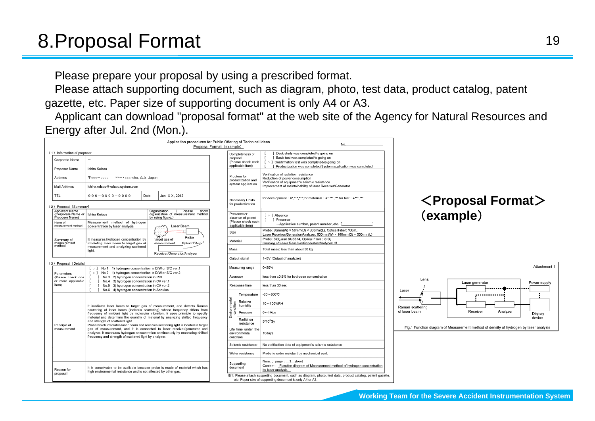Please prepare your proposal by using a prescribed format.

Please attach supporting document, such as diagram, photo, test data, product catalog, patent gazette, etc. Paper size of supporting document is only A4 or A3.

Applicant can download "proposal format" at the web site of the Agency for Natural Resources and Energy after Jul. 2nd (Mon.).

|                                                                                                                                                                                                                                      |                                                                                                                                                                                                                                                    | Proposal Format (example)                                     |                                                                            | Application procedures for Public Offering of Technical Ideas              | No.                                                                                                                                                                                                       |  |  |
|--------------------------------------------------------------------------------------------------------------------------------------------------------------------------------------------------------------------------------------|----------------------------------------------------------------------------------------------------------------------------------------------------------------------------------------------------------------------------------------------------|---------------------------------------------------------------|----------------------------------------------------------------------------|----------------------------------------------------------------------------|-----------------------------------------------------------------------------------------------------------------------------------------------------------------------------------------------------------|--|--|
| (1) Information of proposer<br>Corporate Name<br>Proposer Name                                                                                                                                                                       | $\overline{\phantom{m}}$<br>Ichiro Keisou                                                                                                                                                                                                          |                                                               | proposal                                                                   | Completeness of<br>(Please check each<br>applicable item)                  | Desk study was completed/is going on<br>] Basic test was completed/is going on<br>L<br>[ o ] Confirmation test was completed/is going on<br>Productization was completed/System application was completed |  |  |
| Address                                                                                                                                                                                                                              | $\overline{\mathsf{T}}$ 000 – 0000<br>$x - x$ on cho, $\Delta \Delta$ , Japan                                                                                                                                                                      |                                                               |                                                                            | Problem for<br>productization and                                          | Verification of radiation resistance<br>Reduction of power consumption<br>Verification of equipment's seismic resistance<br>Improvement of maintainability of laser Receiver/Generator                    |  |  |
| Mail Address                                                                                                                                                                                                                         | ichiro.keisou@keisou.system.com                                                                                                                                                                                                                    |                                                               |                                                                            | system application                                                         |                                                                                                                                                                                                           |  |  |
| TEL.                                                                                                                                                                                                                                 | $999 - 9999 - 9999$<br>Date                                                                                                                                                                                                                        | Jun XX, 2012                                                  |                                                                            | Necessary Costs                                                            | for development : **, ***, ***, for materials : **, ***, ***, for test : ****, ***                                                                                                                        |  |  |
| (2) Proposal [Summary]<br><b>Applicant Name</b>                                                                                                                                                                                      |                                                                                                                                                                                                                                                    | Organization<br>Please<br>show                                |                                                                            | for productization                                                         |                                                                                                                                                                                                           |  |  |
| organization of measurement method<br>(Corporate Name or<br>Ichiro Keisou<br>Proposer Name)<br>by using figure.)<br>Measurement method of hydrogen<br>Name of<br>measurement method<br>concentration by laser analysis<br>Laser Beam |                                                                                                                                                                                                                                                    |                                                               | Presence or<br>absence of patent<br>(Please check each<br>applicable item) | [ o ] Absence<br>] Presence<br>->Application number, patent number, etc. [ |                                                                                                                                                                                                           |  |  |
|                                                                                                                                                                                                                                      |                                                                                                                                                                                                                                                    |                                                               | Size                                                                       |                                                                            | Probe: 50mm(W) × 50mm(D) × 300mm(L), Optical Fiber: 100m,<br>Laser Receiver/Generator/Analyzer: 600mm(W) × 100mm(D) × 500mm(L)                                                                            |  |  |
| Summary of<br>measurement<br>method                                                                                                                                                                                                  | It measures hydrogen concentration by<br>irradiating laser beam to target gas of                                                                                                                                                                   | Probe<br>target gas of<br>measurement<br><b>Optical Fiber</b> | Material                                                                   |                                                                            | Probe: SiO <sub>2</sub> and SUS314, Optical Fiber: SiO <sub>2</sub><br>Housing of Laser Receiver/Generator/Analyzer: Al                                                                                   |  |  |
|                                                                                                                                                                                                                                      | measurement and analyzing scattered<br>liaht.                                                                                                                                                                                                      | Receiver/Generator/Analyzer                                   | Mass                                                                       |                                                                            | Total mass: less than about 30 kg                                                                                                                                                                         |  |  |
| (3) Proposal [Details]                                                                                                                                                                                                               |                                                                                                                                                                                                                                                    |                                                               |                                                                            | Output signal                                                              | 1~5V (Output of analyzer)                                                                                                                                                                                 |  |  |
|                                                                                                                                                                                                                                      | [ o ] No.1 1) hydrogen concentration in D/W or S/C ver.1<br>[ o ] No.2 1) hydrogen concentration in D/W or S/C ver.2<br><b>Parameters</b>                                                                                                          |                                                               |                                                                            |                                                                            | $0 - 20%$                                                                                                                                                                                                 |  |  |
| (Please check one<br>or more applicable                                                                                                                                                                                              | ] No.3 2) hydrogen concentration in R/B<br>Т.<br>f.<br>] No.4 3) hydrogen concentration in CV ver.1                                                                                                                                                |                                                               | Accuracy                                                                   |                                                                            | less than ±0.5% for hydrogen concentration                                                                                                                                                                |  |  |
| item)                                                                                                                                                                                                                                | $\mathbb{C}$<br>No.5 3) hydrogen concentration in CV ver.2<br>No.6 4) hydrogen concentration in Annulus<br>-1.                                                                                                                                     |                                                               |                                                                            | Response time                                                              | less than 30 sec                                                                                                                                                                                          |  |  |
|                                                                                                                                                                                                                                      |                                                                                                                                                                                                                                                    |                                                               |                                                                            | Temperature                                                                | $-30 - 800^{\circ}$ C                                                                                                                                                                                     |  |  |
|                                                                                                                                                                                                                                      | It irradiates laser beam to target gas of measurement, and detects Raman                                                                                                                                                                           |                                                               | Environmental<br>condition                                                 | Relative<br>humidity                                                       | 10~100%RH                                                                                                                                                                                                 |  |  |
|                                                                                                                                                                                                                                      | scattering of laser beam (inelastic scattering) whose frequency differs from<br>frequency of incident light by molecular vibration. It uses principle to specify<br>material and determine the quantity of material by analyzing shifted frequency |                                                               |                                                                            | Pressure                                                                   | $0 - 1$ Mpa                                                                                                                                                                                               |  |  |
| Principle of                                                                                                                                                                                                                         | and strength of scattered light.<br>Probe which irradiates laser beam and receives scattering light is located in target                                                                                                                           |                                                               |                                                                            | Radiation<br>resistance                                                    | $5*10^6$ Gv                                                                                                                                                                                               |  |  |
| measurement                                                                                                                                                                                                                          | gas of measurement, and it is connected to laser receiver/generator and<br>analyzer. It measures hydrogen concentration continuously by measuring shifted<br>frequency and strength of scattered light by analyzer.                                |                                                               | condition                                                                  | Life time under the<br>environmental                                       | 10days                                                                                                                                                                                                    |  |  |
|                                                                                                                                                                                                                                      |                                                                                                                                                                                                                                                    |                                                               |                                                                            | Seismic resistance                                                         | No verification data of equipment's seismic resistance                                                                                                                                                    |  |  |
|                                                                                                                                                                                                                                      |                                                                                                                                                                                                                                                    |                                                               |                                                                            | Water resistance                                                           | Probe is water resistant by mechanical seal.                                                                                                                                                              |  |  |
| Reason for<br>proposal                                                                                                                                                                                                               | It is conceivable to be available because probe is made of material which has<br>high environmental resistance and is not affected by other gas.                                                                                                   |                                                               |                                                                            | Supporting<br>document                                                     | Num. of page: 1 sheet<br>Content: Function diagram of Measurement method of hydrogen concentration<br>by laser analysis                                                                                   |  |  |

<**Proposal Format** > (**example** )

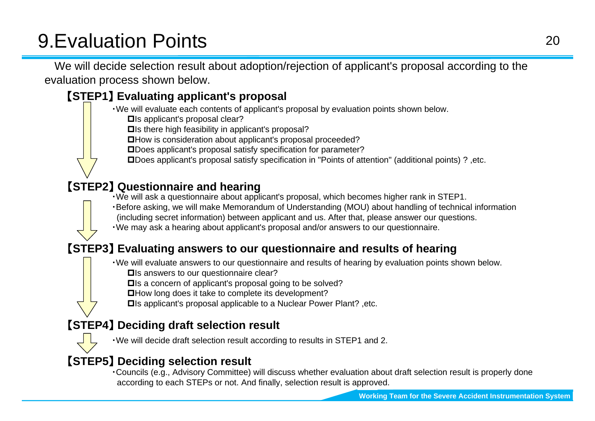# 9.Evaluation Points

We will decide selection result about adoption/rejection of applicant's proposal according to the evaluation process shown below.

## 【**STEP1** 】 **Evaluating applicant's proposal**

・We will evaluate each contents of applicant's proposal by evaluation points shown below.

**□**Is applicant's proposal clear?

 $\square$ Is there high feasibility in applicant's proposal?

How is consideration about applicant's proposal proceeded?

Does applicant's proposal satisfy specification for parameter?

Does applicant's proposal satisfy specification in "Points of attention" (additional points) ? ,etc.

#### 【**STEP2** 】 **Questionnaire and hearing**

・We will ask a questionnaire about applicant's proposal, which becomes higher rank in STEP1.

・Before asking, we will make Memorandum of Understanding (MOU) about handling of technical information

(including secret information) between applicant and us. After that, please answer our questions.

・We may ask a hearing about applicant's proposal and/or answers to our questionnaire.

#### 【**STEP3** 】 **Evaluating answers to our questionnaire and results of hearing**

・We will evaluate answers to our questionnaire and results of hearing by evaluation points shown below.

**□**Is answers to our questionnaire clear?

 $\square$ Is a concern of applicant's proposal going to be solved?

**□How long does it take to complete its development?** 

Is applicant's proposal applicable to a Nuclear Power Plant? ,etc.

## 【**STEP4** 】 **Deciding draft selection result**



・We will decide draft selection result according to results in STEP1 and 2.

#### 【**STEP5** 】 **Deciding selection result**

・Councils (e.g., Advisory Committee) will discuss whether evaluation about draft selection result is properly done according to each STEPs or not. And finally, selection result is approved.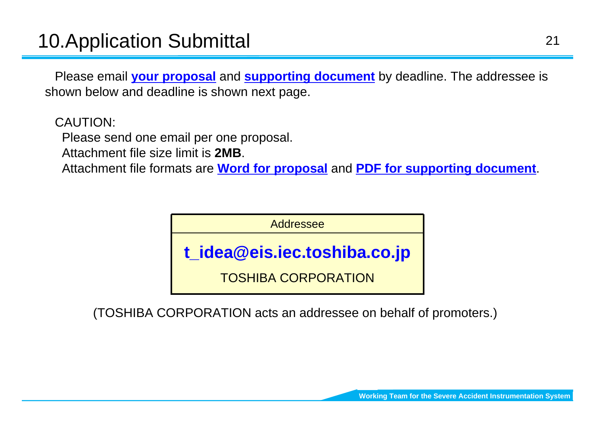Please email **your proposal** and **supporting document** by deadline. The addressee is shown below and deadline is shown next page.

CAUTION:

Please send one email per one proposal.

Attachment file size limit is **2MB**.

Attachment file formats are **Word for proposal** and **PDF for supporting document**.

Addressee

**t\_idea@eis.iec.toshiba.co.jp**

TOSHIBA CORPORATION

(TOSHIBA CORPORATION acts an addressee on behalf of promoters.)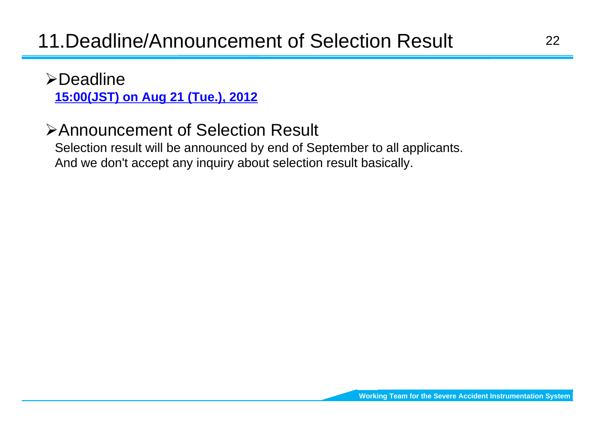## ¾Deadline

**15:00(JST) on Aug 21 (Tue.), 2012**

## ¾Announcement of Selection Result

Selection result will be announced by end of September to all applicants. And we don't accept any inquiry about selection result basically.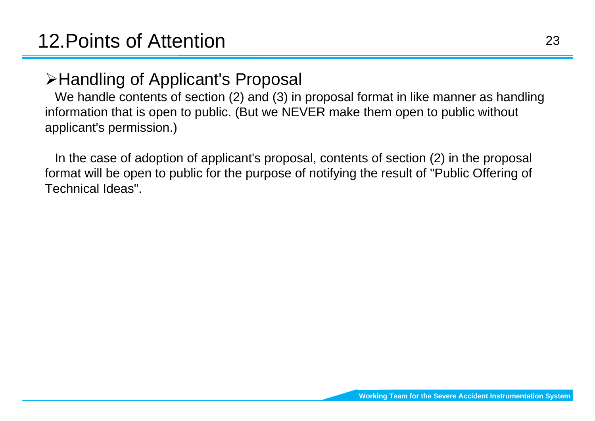# ¾Handling of Applicant's Proposal

We handle contents of section (2) and (3) in proposal format in like manner as handling information that is open to public. (But we NEVER make them open to public without applicant's permission.)

In the case of adoption of applicant's proposal, contents of section (2) in the proposal format will be open to public for the purpose of notifying the result of "Public Offering of Technical Ideas".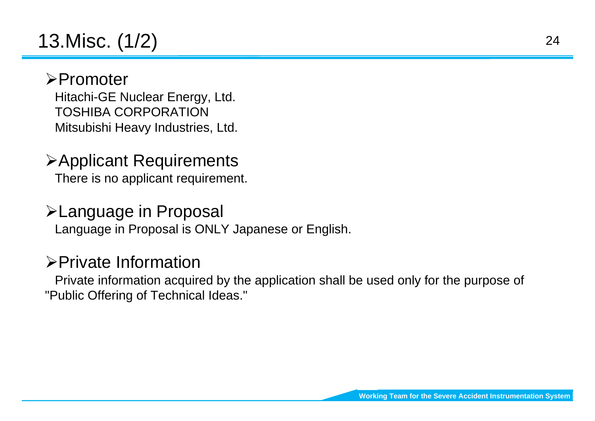# 13.Misc. (1/2)

## ¾Promoter

Hitachi-GE Nuclear Energy, Ltd. TOSHIBA CORPORATIONMitsubishi Heavy Industries, Ltd.

## ¾Applicant Requirements There is no applicant requirement.

## ¾Language in Proposal

Language in Proposal is ONLY Japanese or English.

## ¾Private Information

Private information acquired by the application shall be used only for the purpose of "Public Offering of Technical Ideas."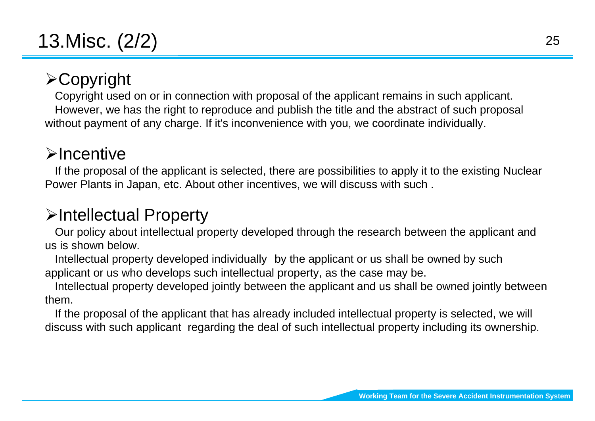# $\triangleright$  Copyright

Copyright used on or in connection with proposal of the applicant remains in such applicant. However, we has the right to reproduce and publish the title and the abstract of such proposal without payment of any charge. If it's inconvenience with you, we coordinate individually.

## ¾Incentive

If the proposal of the applicant is selected, there are possibilities to apply it to the existing Nuclear Power Plants in Japan, etc. About other incentives, we will discuss with such .

## ¾Intellectual Property

Our policy about intellectual property developed through the research between the applicant and us is shown below.

Intellectual property developed individually by the applicant or us shall be owned by such applicant or us who develops such intellectual property, as the case may be.

Intellectual property developed jointly between the applicant and us shall be owned jointly between them.

If the proposal of the applicant that has already included intellectual property is selected, we will discuss with such applicant regarding the deal of such intellectual property including its ownership.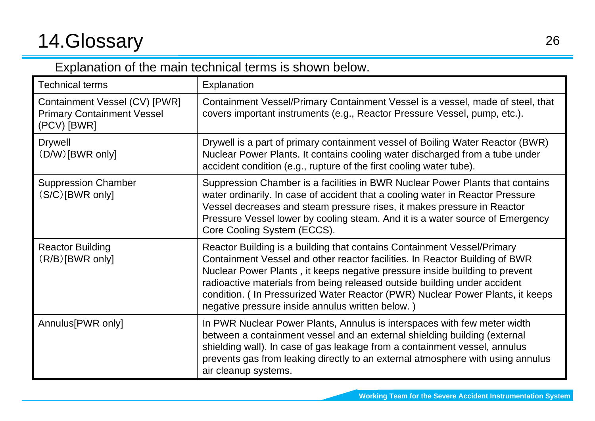# 14.Glossary

## Explanation of the main technical terms is shown below.

| <b>Technical terms</b>                                                            | Explanation                                                                                                                                                                                                                                                                                                                                                                                                                                             |
|-----------------------------------------------------------------------------------|---------------------------------------------------------------------------------------------------------------------------------------------------------------------------------------------------------------------------------------------------------------------------------------------------------------------------------------------------------------------------------------------------------------------------------------------------------|
| Containment Vessel (CV) [PWR]<br><b>Primary Containment Vessel</b><br>(PCV) [BWR] | Containment Vessel/Primary Containment Vessel is a vessel, made of steel, that<br>covers important instruments (e.g., Reactor Pressure Vessel, pump, etc.).                                                                                                                                                                                                                                                                                             |
| <b>Drywell</b><br>(D/W)[BWR only]                                                 | Drywell is a part of primary containment vessel of Boiling Water Reactor (BWR)<br>Nuclear Power Plants. It contains cooling water discharged from a tube under<br>accident condition (e.g., rupture of the first cooling water tube).                                                                                                                                                                                                                   |
| <b>Suppression Chamber</b><br>$(S/C)[BWR \text{ only}]$                           | Suppression Chamber is a facilities in BWR Nuclear Power Plants that contains<br>water ordinarily. In case of accident that a cooling water in Reactor Pressure<br>Vessel decreases and steam pressure rises, it makes pressure in Reactor<br>Pressure Vessel lower by cooling steam. And it is a water source of Emergency<br>Core Cooling System (ECCS).                                                                                              |
| <b>Reactor Building</b><br>$(R/B)[BWR \text{ only}]$                              | Reactor Building is a building that contains Containment Vessel/Primary<br>Containment Vessel and other reactor facilities. In Reactor Building of BWR<br>Nuclear Power Plants, it keeps negative pressure inside building to prevent<br>radioactive materials from being released outside building under accident<br>condition. (In Pressurized Water Reactor (PWR) Nuclear Power Plants, it keeps<br>negative pressure inside annulus written below.) |
| Annulus [PWR only]                                                                | In PWR Nuclear Power Plants, Annulus is interspaces with few meter width<br>between a containment vessel and an external shielding building (external<br>shielding wall). In case of gas leakage from a containment vessel, annulus<br>prevents gas from leaking directly to an external atmosphere with using annulus<br>air cleanup systems.                                                                                                          |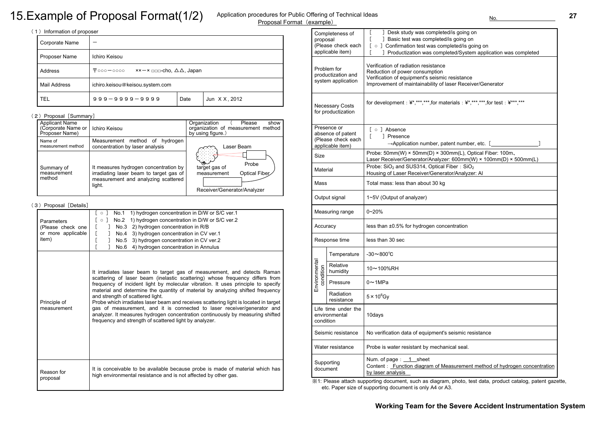| Corporate Name      |                                                            |      |               |  |  |  |  |
|---------------------|------------------------------------------------------------|------|---------------|--|--|--|--|
| Proposer Name       | Ichiro Keisou                                              |      |               |  |  |  |  |
| Address             | $\bar{T}$ 000-0000 $x - x$ no cho, $\Delta \Delta$ , Japan |      |               |  |  |  |  |
| <b>Mail Address</b> | ichiro.keisou@keisou.system.com                            |      |               |  |  |  |  |
| TEL                 | $999 - 9999 - 9999$                                        | Date | Jun X X, 2012 |  |  |  |  |

#### (2) Proposal [Summary]

| <b>Parameters</b><br>(Please check one<br>or more applicable<br>item) | $[\circ]$<br>No.1<br>1) hydrogen concentration in D/W or S/C ver.1<br>$\circ$ ]<br>1) hydrogen concentration in D/W or S/C ver.2<br>No.2<br>L<br>2) hydrogen concentration in R/B<br>No.3<br>$\mathbf{I}$<br>[<br>3) hydrogen concentration in CV ver.1<br>1<br>No.4<br>[<br>3) hydrogen concentration in CV ver.2<br>1<br>No.5<br>4) hydrogen concentration in Annulus<br>No.6                                                                                                                                                                                                                                                                                                   |
|-----------------------------------------------------------------------|-----------------------------------------------------------------------------------------------------------------------------------------------------------------------------------------------------------------------------------------------------------------------------------------------------------------------------------------------------------------------------------------------------------------------------------------------------------------------------------------------------------------------------------------------------------------------------------------------------------------------------------------------------------------------------------|
| Principle of<br>measurement                                           | It irradiates laser beam to target gas of measurement, and detects Raman<br>scattering of laser beam (inelastic scattering) whose frequency differs from<br>frequency of incident light by molecular vibration. It uses principle to specify<br>material and determine the quantity of material by analyzing shifted frequency<br>and strength of scattered light.<br>Probe which irradiates laser beam and receives scattering light is located in target<br>gas of measurement, and it is connected to laser receiver/generator and<br>analyzer. It measures hydrogen concentration continuously by measuring shifted<br>frequency and strength of scattered light by analyzer. |
| Reason for<br>proposal                                                | It is conceivable to be available because probe is made of material which has<br>high environmental resistance and is not affected by other gas.                                                                                                                                                                                                                                                                                                                                                                                                                                                                                                                                  |

| <b>Applicant Name</b><br>(Corporate Name or<br>Proposer Name) | Ichiro Keisou                                                                                                                     | Organization<br>Please<br>show<br>organization of measurement method<br>by using figure.)          |
|---------------------------------------------------------------|-----------------------------------------------------------------------------------------------------------------------------------|----------------------------------------------------------------------------------------------------|
| Name of<br>measurement method                                 | Measurement method of<br>hydrogen<br>concentration by laser analysis                                                              | Laser Beam                                                                                         |
| Summary of<br>measurement<br>method                           | It measures hydrogen concentration by<br>irradiating laser beam to target gas of<br>measurement and analyzing scattered<br>light. | <b>₹©</b><br>Probe<br>target gas of<br>Optical Fiber<br>measurement<br>Receiver/Generator/Analyzer |

#### (3) Proposal [Details]

| proposal                   | Completeness of<br>(Please check each<br>applicable item)                  | ] Desk study was completed/is going on<br>] Basic test was completed/is going on<br>o ] Confirmation test was completed/is going on<br>$\Gamma$<br>] Productization was completed/System application was completed |  |  |  |  |
|----------------------------|----------------------------------------------------------------------------|--------------------------------------------------------------------------------------------------------------------------------------------------------------------------------------------------------------------|--|--|--|--|
|                            | Problem for<br>productization and<br>system application                    | Verification of radiation resistance<br>Reduction of power consumption<br>Verification of equipment's seismic resistance<br>Improvement of maintainability of laser Receiver/Generator                             |  |  |  |  |
|                            | <b>Necessary Costs</b><br>for productization                               | for development : \frac{*,***,***,for materials : \frac{*,***,***,for test : \frac{***,***                                                                                                                         |  |  |  |  |
|                            | Presence or<br>absence of patent<br>(Please check each<br>applicable item) | [ o ] Absence<br>] Presence<br>$\rightarrow$ Application number, patent number, etc. [                                                                                                                             |  |  |  |  |
| <b>Size</b>                |                                                                            | Probe: 50mm(W) $\times$ 50mm(D) $\times$ 300mm(L), Optical Fiber: 100m,<br>Laser Receiver/Generator/Analyzer: 600mm(W) × 100mm(D) × 500mm(L)                                                                       |  |  |  |  |
| Material                   |                                                                            | Probe: $SiO2$ and SUS314, Optical Fiber: $SiO2$<br>Housing of Laser Receiver/Generator/Analyzer: Al                                                                                                                |  |  |  |  |
| Mass                       |                                                                            | Total mass: less than about 30 kg                                                                                                                                                                                  |  |  |  |  |
|                            | Output signal                                                              | 1~5V (Output of analyzer)                                                                                                                                                                                          |  |  |  |  |
|                            | Measuring range                                                            | $0 - 20%$                                                                                                                                                                                                          |  |  |  |  |
| Accuracy                   |                                                                            | less than ±0.5% for hydrogen concentration                                                                                                                                                                         |  |  |  |  |
|                            | Response time                                                              | less than 30 sec                                                                                                                                                                                                   |  |  |  |  |
|                            | Temperature                                                                | $-30 \sim 800^{\circ}C$                                                                                                                                                                                            |  |  |  |  |
| Environmental<br>condition | Relative<br>humidity                                                       | 10~100%RH                                                                                                                                                                                                          |  |  |  |  |
|                            | Pressure                                                                   | $0 \sim 1$ MPa                                                                                                                                                                                                     |  |  |  |  |
|                            | Radiation<br>resistance                                                    | $5 \times 10^6$ Gy                                                                                                                                                                                                 |  |  |  |  |
| condition                  | Life time under the<br>environmental                                       | 10days                                                                                                                                                                                                             |  |  |  |  |
|                            | Seismic resistance                                                         | No verification data of equipment's seismic resistance                                                                                                                                                             |  |  |  |  |
|                            | Water resistance                                                           | Probe is water resistant by mechanical seal.                                                                                                                                                                       |  |  |  |  |
| Supporting<br>document     |                                                                            | Num. of page : $1$ sheet<br>Content: Function diagram of Measurement method of hydrogen concen<br>by laser analysis                                                                                                |  |  |  |  |

※1: Please attach supporting document, such as diagram, photo, test data, product catalog, patent gazette, etc. Paper size of supporting document is only A4 or A3.

| ] Desk study was completed/is going on<br>L<br>] Basic test was completed/is going on<br>L<br>[ o ] Confirmation test was completed/is going on<br>] Productization was completed/System application was completed                                 |
|----------------------------------------------------------------------------------------------------------------------------------------------------------------------------------------------------------------------------------------------------|
| Verification of radiation resistance<br>Reduction of power consumption<br>Verification of equipment's seismic resistance<br>Improvement of maintainability of laser Receiver/Generator                                                             |
| for development: ¥*,***,***,for materials: ¥*,***,***,for test: ¥***,***                                                                                                                                                                           |
| [ o ] Absence<br>] Presence<br>$\mathbf{I}$<br>$\rightarrow$ Application number, patent number, etc. [                                                                                                                                             |
| Probe: $50mm(W) \times 50mm(D) \times 300mm(L)$ , Optical Fiber: 100m,<br>Laser Receiver/Generator/Analyzer: 600mm(W) × 100mm(D) × 500mm(L)<br>Probe: $SiO2$ and SUS314, Optical Fiber: $SiO2$<br>Housing of Laser Receiver/Generator/Analyzer: Al |
| Total mass: less than about 30 kg                                                                                                                                                                                                                  |
| 1~5V (Output of analyzer)                                                                                                                                                                                                                          |
| $0 - 20%$                                                                                                                                                                                                                                          |
| less than ±0.5% for hydrogen concentration                                                                                                                                                                                                         |
| less than 30 sec                                                                                                                                                                                                                                   |
| -30 $\thicksim$ 800°C                                                                                                                                                                                                                              |
| 10~100%RH                                                                                                                                                                                                                                          |
| 0 $\sim$ 1MPa                                                                                                                                                                                                                                      |
| $5\times10^6$ Gv                                                                                                                                                                                                                                   |
| 10days                                                                                                                                                                                                                                             |
| No verification data of equipment's seismic resistance                                                                                                                                                                                             |
| Probe is water resistant by mechanical seal.                                                                                                                                                                                                       |
| Num. of page: 1 sheet<br>Content: Function diagram of Measurement method of hydrogen concentration                                                                                                                                                 |

# 15.Example of Proposal Format(1/2)

#### Application procedures for Public Offering of Technical Ideas Proposal Format (example) No. No. No. No.

#### (1) Information of proposer

# **Working Team for the Severe Accident Instrumentation System27**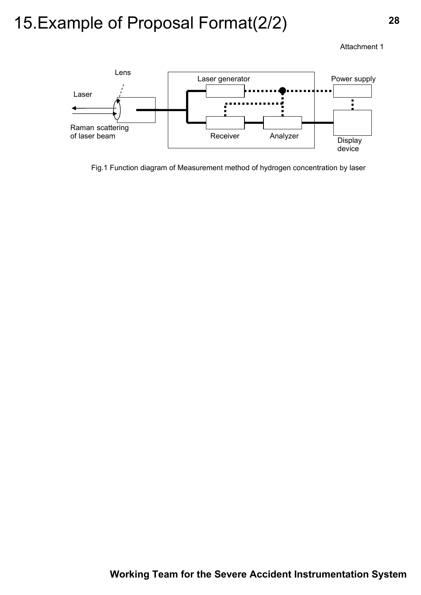Attachment 1



Fig.1 Function diagram of Measurement method of hydrogen concentration by laser